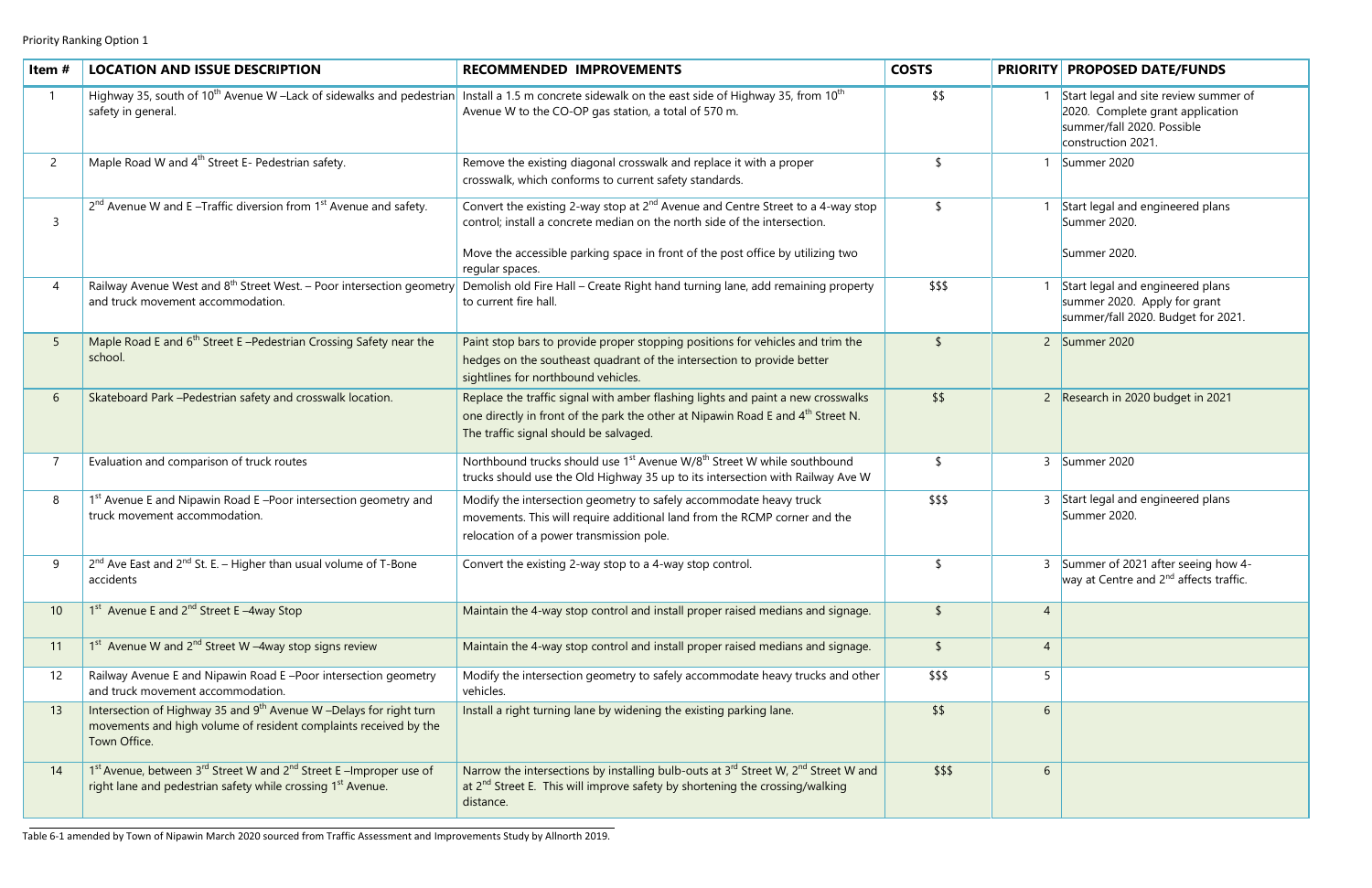|        |                | <b>PRIORITY PROPOSED DATE/FUNDS</b>                                                                                           |  |  |
|--------|----------------|-------------------------------------------------------------------------------------------------------------------------------|--|--|
| \$\$   | 1              | Start legal and site review summer of<br>2020. Complete grant application<br>summer/fall 2020. Possible<br>construction 2021. |  |  |
| \$     | 1              | Summer 2020                                                                                                                   |  |  |
| \$     | 1              | Start legal and engineered plans<br>Summer 2020.<br>Summer 2020.                                                              |  |  |
| \$\$\$ | 1              | Start legal and engineered plans<br>summer 2020. Apply for grant<br>summer/fall 2020. Budget for 2021.                        |  |  |
| \$     | $\overline{2}$ | Summer 2020                                                                                                                   |  |  |
| \$\$   | $\overline{2}$ | Research in 2020 budget in 2021                                                                                               |  |  |
| \$     | 3              | Summer 2020                                                                                                                   |  |  |
| \$\$\$ | 3              | Start legal and engineered plans<br>Summer 2020.                                                                              |  |  |
| \$     | 3              | Summer of 2021 after seeing how 4-<br>way at Centre and 2 <sup>nd</sup> affects traffic.                                      |  |  |
| \$     | $\overline{4}$ |                                                                                                                               |  |  |
| \$     | $\overline{4}$ |                                                                                                                               |  |  |
| \$\$\$ | 5              |                                                                                                                               |  |  |
| \$\$   | 6              |                                                                                                                               |  |  |
| \$\$\$ | 6              |                                                                                                                               |  |  |

| Item#          | <b>LOCATION AND ISSUE DESCRIPTION</b>                                                                                                                              | <b>RECOMMENDED IMPROVEMENTS</b>                                                                                                                                                                                           | <b>COSTS</b>  | <b>PRIORITY</b> | <b>PROPOSED DATE/FUNDS</b>                                                                                                   |
|----------------|--------------------------------------------------------------------------------------------------------------------------------------------------------------------|---------------------------------------------------------------------------------------------------------------------------------------------------------------------------------------------------------------------------|---------------|-----------------|------------------------------------------------------------------------------------------------------------------------------|
|                | Highway 35, south of 10 <sup>th</sup> Avenue W -Lack of sidewalks and pedestrian<br>safety in general.                                                             | Install a 1.5 m concrete sidewalk on the east side of Highway 35, from 10 <sup>th</sup><br>Avenue W to the CO-OP gas station, a total of 570 m.                                                                           | \$\$          |                 | Start legal and site review summer o<br>2020. Complete grant application<br>summer/fall 2020. Possible<br>construction 2021. |
| $\overline{2}$ | Maple Road W and 4 <sup>th</sup> Street E- Pedestrian safety.                                                                                                      | Remove the existing diagonal crosswalk and replace it with a proper<br>crosswalk, which conforms to current safety standards.                                                                                             |               |                 | Summer 2020                                                                                                                  |
|                | $2^{nd}$ Avenue W and E –Traffic diversion from $1^{st}$ Avenue and safety.                                                                                        | Convert the existing 2-way stop at 2 <sup>nd</sup> Avenue and Centre Street to a 4-way stop<br>control; install a concrete median on the north side of the intersection.                                                  | $\sqrt{2}$    |                 | Start legal and engineered plans<br>Summer 2020.                                                                             |
|                |                                                                                                                                                                    | Move the accessible parking space in front of the post office by utilizing two<br>regular spaces.                                                                                                                         |               |                 | Summer 2020.                                                                                                                 |
|                | Railway Avenue West and 8 <sup>th</sup> Street West. - Poor intersection geometry<br>and truck movement accommodation.                                             | Demolish old Fire Hall - Create Right hand turning lane, add remaining property<br>to current fire hall.                                                                                                                  | \$\$\$        |                 | Start legal and engineered plans<br>summer 2020. Apply for grant<br>summer/fall 2020. Budget for 2021.                       |
|                | Maple Road E and 6 <sup>th</sup> Street E-Pedestrian Crossing Safety near the<br>school.                                                                           | Paint stop bars to provide proper stopping positions for vehicles and trim the<br>hedges on the southeast quadrant of the intersection to provide better<br>sightlines for northbound vehicles.                           | $\mathsf{\$}$ |                 | 2 Summer 2020                                                                                                                |
| 6              | Skateboard Park - Pedestrian safety and crosswalk location.                                                                                                        | Replace the traffic signal with amber flashing lights and paint a new crosswalks<br>one directly in front of the park the other at Nipawin Road E and 4 <sup>th</sup> Street N.<br>The traffic signal should be salvaged. | \$\$          |                 | 2 Research in 2020 budget in 2021                                                                                            |
|                | Evaluation and comparison of truck routes                                                                                                                          | Northbound trucks should use 1 <sup>st</sup> Avenue W/8 <sup>th</sup> Street W while southbound<br>trucks should use the Old Highway 35 up to its intersection with Railway Ave W                                         | \$            |                 | 3 Summer 2020                                                                                                                |
| 8              | 1 <sup>st</sup> Avenue E and Nipawin Road E -Poor intersection geometry and<br>truck movement accommodation.                                                       | Modify the intersection geometry to safely accommodate heavy truck<br>movements. This will require additional land from the RCMP corner and the<br>relocation of a power transmission pole.                               | \$\$\$        | 3               | Start legal and engineered plans<br>Summer 2020.                                                                             |
|                | 2 <sup>nd</sup> Ave East and 2 <sup>nd</sup> St. E. - Higher than usual volume of T-Bone<br>accidents                                                              | Convert the existing 2-way stop to a 4-way stop control.                                                                                                                                                                  | \$            |                 | 3 Summer of 2021 after seeing how 4-<br>way at Centre and 2 <sup>nd</sup> affects traffic.                                   |
| 10             | 1 <sup>st</sup> Avenue E and 2 <sup>nd</sup> Street E-4way Stop                                                                                                    | Maintain the 4-way stop control and install proper raised medians and signage.                                                                                                                                            | $\mathsf{\$}$ | $\overline{4}$  |                                                                                                                              |
| 11             | $1st$ Avenue W and $2nd$ Street W -4way stop signs review                                                                                                          | Maintain the 4-way stop control and install proper raised medians and signage.                                                                                                                                            | $\sqrt{2}$    | $\overline{4}$  |                                                                                                                              |
| 12             | Railway Avenue E and Nipawin Road E-Poor intersection geometry<br>and truck movement accommodation.                                                                | Modify the intersection geometry to safely accommodate heavy trucks and other<br>vehicles.                                                                                                                                | \$\$\$        | 5               |                                                                                                                              |
| 13             | Intersection of Highway 35 and 9 <sup>th</sup> Avenue W -Delays for right turn<br>movements and high volume of resident complaints received by the<br>Town Office. | Install a right turning lane by widening the existing parking lane.                                                                                                                                                       | \$5           | 6               |                                                                                                                              |
| 14             | 1st Avenue, between 3rd Street W and 2nd Street E-Improper use of<br>right lane and pedestrian safety while crossing 1 <sup>st</sup> Avenue.                       | Narrow the intersections by installing bulb-outs at 3rd Street W, 2 <sup>nd</sup> Street W and<br>at 2 <sup>nd</sup> Street E. This will improve safety by shortening the crossing/walking<br>distance.                   | \$\$\$        | 6               |                                                                                                                              |